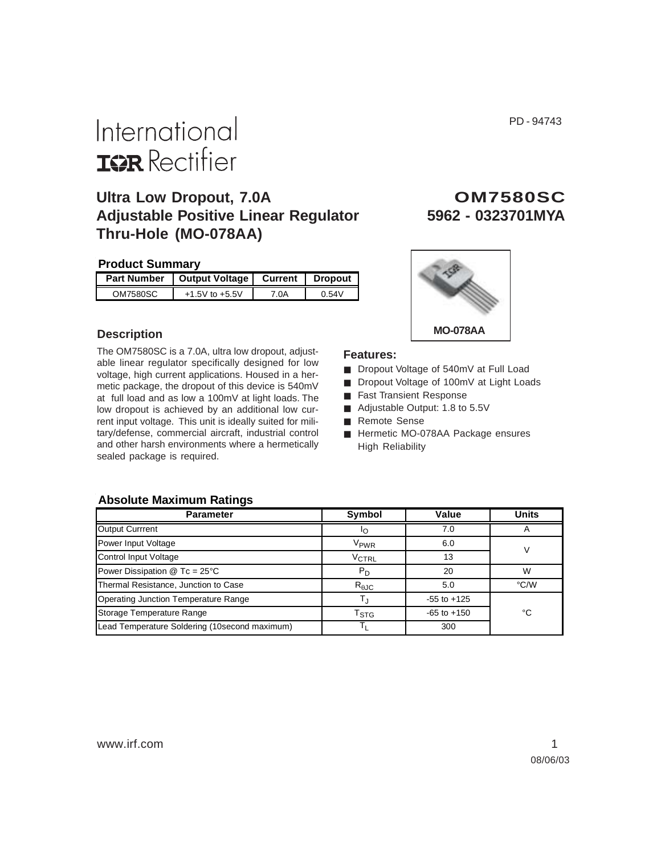PD - 94743

# International **ISR** Rectifier

## **Ultra Low Dropout, 7.0A Adjustable Positive Linear Regulator 5962 - 0323701MYA Thru-Hole (MO-078AA)**

## **Product Summary**

| <b>Part Number</b> | <b>Output Voltage</b> |      | Current   Dropout |
|--------------------|-----------------------|------|-------------------|
| OM7580SC           | $+1.5V$ to $+5.5V$    | 7.OA | 0.54V             |

## **Description**

The OM7580SC is a 7.0A, ultra low dropout, adjustable linear regulator specifically designed for low voltage, high current applications. Housed in a hermetic package, the dropout of this device is 540mV at full load and as low a 100mV at light loads. The low dropout is achieved by an additional low current input voltage. This unit is ideally suited for military/defense, commercial aircraft, industrial control and other harsh environments where a hermetically sealed package is required.

# **O M 7 5 8 0 S C**



## **Features:**

- Dropout Voltage of 540mV at Full Load
- Dropout Voltage of 100mV at Light Loads
- Fast Transient Response
- Adjustable Output: 1.8 to 5.5V
- Remote Sense
- Hermetic MO-078AA Package ensures High Reliability

### **Absolute Maximum Ratings**

| <b>Parameter</b>                              | Symbol                    | Value           | <b>Units</b>  |  |
|-----------------------------------------------|---------------------------|-----------------|---------------|--|
| Output Currrent                               | IО                        | 7.0             |               |  |
| Power Input Voltage                           | V <sub>PWR</sub>          | 6.0             |               |  |
| <b>Control Input Voltage</b>                  | V <sub>CTRL</sub>         | 13              |               |  |
| Power Dissipation $@$ Tc = 25 $°C$            | $P_D$                     | 20              | W             |  |
| Thermal Resistance, Junction to Case          | $R_{\theta$ JC            | 5.0             | $\degree$ C/W |  |
| <b>Operating Junction Temperature Range</b>   |                           | $-55$ to $+125$ |               |  |
| Storage Temperature Range                     | $\mathsf{T}_{\text{STG}}$ | $-65$ to $+150$ | °C            |  |
| Lead Temperature Soldering (10second maximum) |                           | 300             |               |  |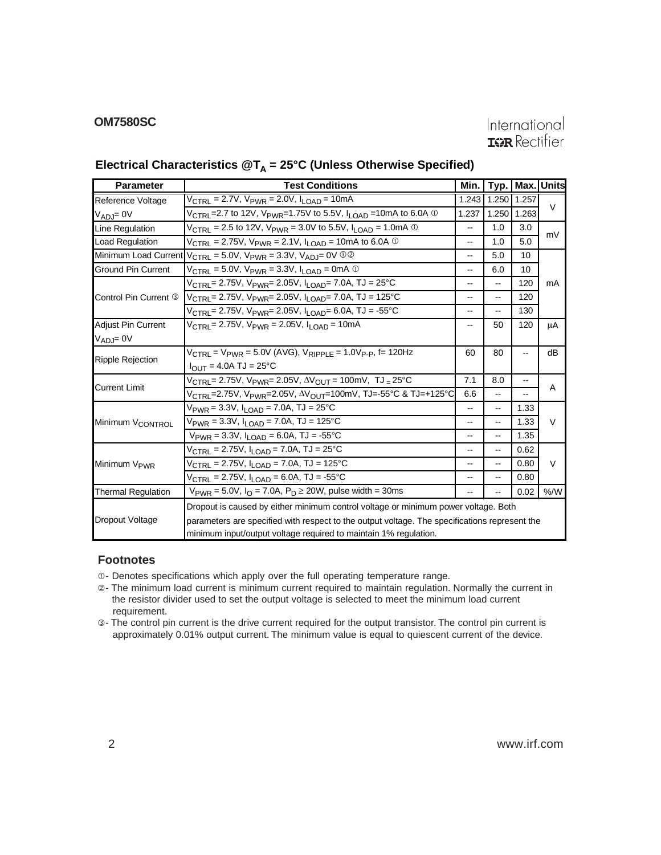## **OM7580SC**

## International **IGR** Rectifier

## **Electrical Characteristics @T<sub>A</sub> = 25°C (Unless Otherwise Specified)**

| <b>Parameter</b>             | <b>Test Conditions</b>                                                                                            | Min.                     |       | Typ.   Max. Units |        |  |
|------------------------------|-------------------------------------------------------------------------------------------------------------------|--------------------------|-------|-------------------|--------|--|
| Reference Voltage            | V <sub>CTRL</sub> = 2.7V, V <sub>PWR</sub> = 2.0V, I <sub>LOAD</sub> = 10mA                                       | 1.243                    | 1.250 | 1.257             |        |  |
| $V_{ADJ} = 0V$               | $V_{\text{CTRL}}$ =2.7 to 12V, V <sub>PWR</sub> =1.75V to 5.5V, I <sub>LOAD</sub> =10mA to 6.0A $\textcircled{1}$ | 1.237                    | 1.250 | 1.263             | $\vee$ |  |
| Line Regulation              | $V_{\text{CTRL}}$ = 2.5 to 12V, $V_{\text{PWR}}$ = 3.0V to 5.5V, $I_{\text{LOAD}}$ = 1.0mA $\odot$                |                          | 1.0   | 3.0               | mV     |  |
| <b>Load Regulation</b>       | $V_{\text{CTRL}}$ = 2.75V, $V_{\text{PWR}}$ = 2.1V, $I_{\text{LOAD}}$ = 10mA to 6.0A $\odot$                      | --                       | 1.0   | 5.0               |        |  |
|                              | Minimum Load Current $V_{\text{CTRL}} = 5.0V$ , $V_{\text{PWR}} = 3.3V$ , $V_{\text{ADJ}} = 0V$ 00                | --                       | 5.0   | 10                |        |  |
| <b>Ground Pin Current</b>    | $V_{\text{CTRI}} = 5.0 V$ , $V_{\text{PWR}} = 3.3 V$ , $I_{\text{I OAD}} = 0 \text{mA}$ $\textcircled{1}$         | --                       | 6.0   | 10                |        |  |
|                              |                                                                                                                   | --                       | --    | 120               | mA     |  |
| Control Pin Current 3        |                                                                                                                   | $\overline{\phantom{a}}$ | --    | 120               |        |  |
|                              | V <sub>CTRL</sub> = 2.75V, V <sub>PWR</sub> = 2.05V, I <sub>LOAD</sub> = 6.0A, TJ = -55°C                         | $\overline{\phantom{a}}$ | н.    | 130               |        |  |
| <b>Adjust Pin Current</b>    | $V_{\text{CTRI}} = 2.75V$ , $V_{\text{PWR}} = 2.05V$ , $I_{\text{I}} \cap A_{\text{I}} = 10 \text{mA}$            |                          | 50    | 120               | μA     |  |
| $V_{ADJ} = 0V$               |                                                                                                                   |                          |       |                   |        |  |
|                              | $V_{\text{CTRI}} = V_{\text{PWR}} = 5.0 V \text{ (AVG)}, V_{\text{RIPPI F}} = 1.0 V_{\text{P-P}}, f = 120 Hz$     | 60                       | 80    |                   | dB     |  |
| <b>Ripple Rejection</b>      | $I_{\text{OUT}} = 4.0$ A TJ = 25°C                                                                                |                          |       |                   |        |  |
| <b>Current Limit</b>         | $V_{\text{CTRL}} = 2.75V$ , $V_{\text{PWR}} = 2.05V$ , $\Delta V_{\text{OUT}} = 100mV$ , TJ = 25°C                | 7.1                      | 8.0   | --                | A      |  |
|                              | V <sub>CTRL</sub> =2.75V, V <sub>PWR</sub> =2.05V, ΔV <sub>OUT</sub> =100mV, TJ=-55°C & TJ=+125°C                 | 6.6                      | н.    | --                |        |  |
|                              | $V_{\text{PWR}} = 3.3V$ , $I_{\text{LOAD}} = 7.0A$ , TJ = 25°C                                                    | $\overline{\phantom{a}}$ | н.    | 1.33              |        |  |
| Minimum V <sub>CONTROL</sub> | V <sub>PWR</sub> = 3.3V, I <sub>I OAD</sub> = 7.0A, TJ = 125°C                                                    | --                       | --    | 1.33              | $\vee$ |  |
|                              | $V_{PWR} = 3.3V$ , $I_{LOAD} = 6.0A$ , TJ = -55°C                                                                 |                          | --    | 1.35              |        |  |
|                              | V <sub>CTRL</sub> = 2.75V, I <sub>LOAD</sub> = 7.0A, TJ = 25°C                                                    |                          | ш.    | 0.62              |        |  |
| Minimum V <sub>PWR</sub>     | V <sub>CTRL</sub> = 2.75V, I <sub>LOAD</sub> = 7.0A, TJ = 125°C                                                   |                          | н.    | 0.80              | $\vee$ |  |
|                              | $V_{\text{CTRL}} = 2.75V, I_{\text{LOAD}} = 6.0A, TJ = -55^{\circ}C$                                              |                          | --    | 0.80              |        |  |
| <b>Thermal Regulation</b>    | $V_{PWR} = 5.0V$ , $I_{O} = 7.0A$ , $P_{D} \ge 20W$ , pulse width = 30ms                                          |                          |       | 0.02              | % /W   |  |
|                              | Dropout is caused by either minimum control voltage or minimum power voltage. Both                                |                          |       |                   |        |  |
| Dropout Voltage              | parameters are specified with respect to the output voltage. The specifications represent the                     |                          |       |                   |        |  |
|                              | minimum input/output voltage required to maintain 1% regulation.                                                  |                          |       |                   |        |  |

## **Footnotes**

 $O$ - Denotes specifications which apply over the full operating temperature range.

- -- The minimum load current is minimum current required to maintain regulation. Normally the current in the resistor divider used to set the output voltage is selected to meet the minimum load current requirement.
- The control pin current is the drive current required for the output transistor. The control pin current is approximately 0.01% output current. The minimum value is equal to quiescent current of the device.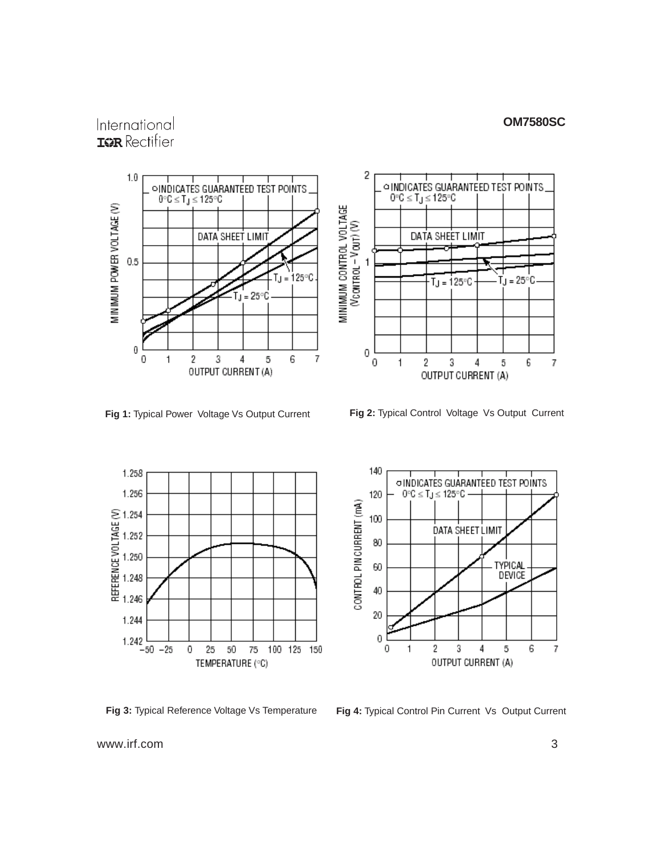### **OM7580SC**

## International **ISR** Rectifier







140





**Fig 3:** Typical Reference Voltage Vs Temperature **Fig 4:** Typical Control Pin Current Vs Output Current

www.irf.com 3